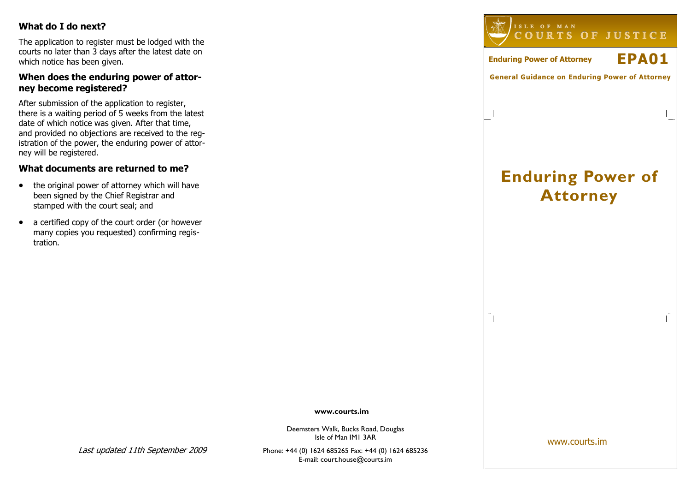# What do I do next?

The application to register must be lodged with the courts no later than 3 days after the latest date on which notice has been given.

# When does the enduring power of attorney become registered?

After submission of the application to register, there is a waiting period of 5 weeks from the latest date of which notice was given. After that time, and provided no objections are received to the registration of the power, the enduring power of attorney will be registered.

# What documents are returned to me?

- the original power of attorney which will have been signed by the Chief Registrar and stamped with the court seal; and
- a certified copy of the court order (or however many copies you requested) confirming registration.



Enduring Power of Attorney EPA01

 $\overline{\phantom{a}}$ 

# Enduring Power of Attorney

www.courts.im

Deemsters Walk, Bucks Road, Douglas Isle of Man IM1 3AR

Phone: +44 (0) 1624 685265 Fax: +44 (0) 1624 685236E-mail: court.house@courts.im

www.courts.im